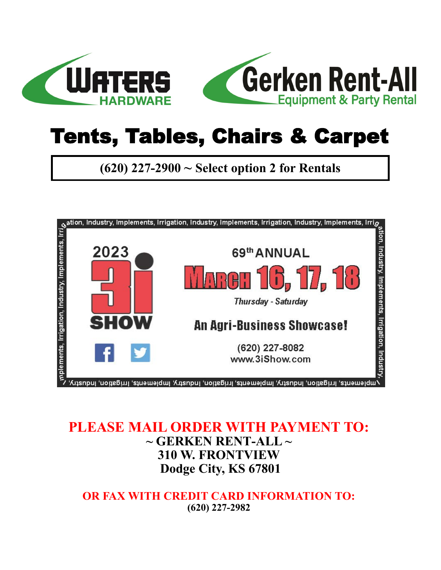



## Tents, Tables, Chairs & Carpet

**(620) 227-2900 ~ Select option 2 for Rentals**



#### **PLEASE MAIL ORDER WITH PAYMENT TO: ~ GERKEN RENT-ALL ~ 310 W. FRONTVIEW Dodge City, KS 67801**

**OR FAX WITH CREDIT CARD INFORMATION TO: (620) 227-2982**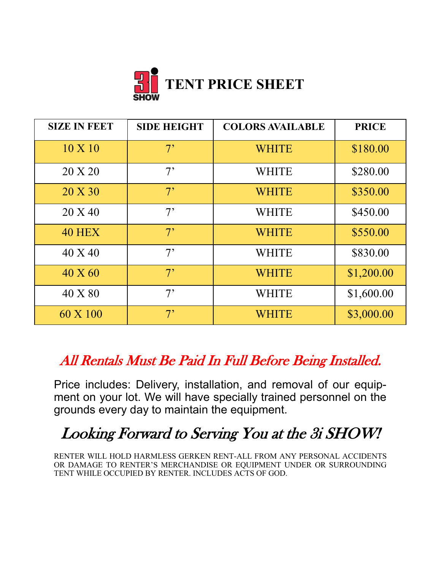

| <b>SIZE IN FEET</b> | <b>SIDE HEIGHT</b> | <b>COLORS AVAILABLE</b> | <b>PRICE</b> |
|---------------------|--------------------|-------------------------|--------------|
| $10 \times 10$      | 7 <sup>5</sup>     | <b>WHITE</b>            | \$180.00     |
| 20 X 20             | 7 <sup>5</sup>     | <b>WHITE</b>            | \$280.00     |
| 20 X 30             | 7 <sup>5</sup>     | <b>WHITE</b>            | \$350.00     |
| 20 X 40             | 7 <sup>5</sup>     | <b>WHITE</b>            | \$450.00     |
| <b>40 HEX</b>       | 7 <sup>5</sup>     | <b>WHITE</b>            | \$550.00     |
| 40 X 40             | 7 <sup>5</sup>     | <b>WHITE</b>            | \$830.00     |
| $40 \text{ X } 60$  | 7 <sup>5</sup>     | <b>WHITE</b>            | \$1,200.00   |
| 40 X 80             | 7 <sup>5</sup>     | <b>WHITE</b>            | \$1,600.00   |
| 60 X 100            | 7 <sup>5</sup>     | <b>WHITE</b>            | \$3,000.00   |

### All Rentals Must Be Paid In Full Before Being Installed.

Price includes: Delivery, installation, and removal of our equipment on your lot. We will have specially trained personnel on the grounds every day to maintain the equipment.

## Looking Forward to Serving You at the 3i SHOW!

RENTER WILL HOLD HARMLESS GERKEN RENT-ALL FROM ANY PERSONAL ACCIDENTS OR DAMAGE TO RENTER'S MERCHANDISE OR EQUIPMENT UNDER OR SURROUNDING TENT WHILE OCCUPIED BY RENTER. INCLUDES ACTS OF GOD.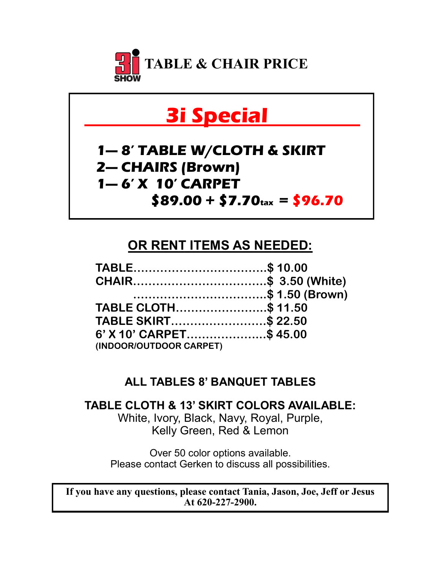

## **3i Special .**

### **1— 8' TABLE W/CLOTH & SKIRT 2— CHAIRS (Brown) 1— 6' X 10' CARPET \$89.00 + \$7.70tax = \$96.70**

#### **OR RENT ITEMS AS NEEDED:**

| TABLE\$ 10.00           |  |
|-------------------------|--|
| CHAIR\$ 3.50 (White)    |  |
| \$ 1.50 (Brown)         |  |
| TABLE CLOTH\$ 11.50     |  |
| TABLE SKIRT\$ 22.50     |  |
| 6' X 10' CARPET\$ 45.00 |  |
| (INDOOR/OUTDOOR CARPET) |  |

#### **ALL TABLES 8' BANQUET TABLES**

**TABLE CLOTH & 13' SKIRT COLORS AVAILABLE:** White, Ivory, Black, Navy, Royal, Purple, Kelly Green, Red & Lemon

Over 50 color options available. Please contact Gerken to discuss all possibilities.

**If you have any questions, please contact Tania, Jason, Joe, Jeff or Jesus At 620-227-2900.**